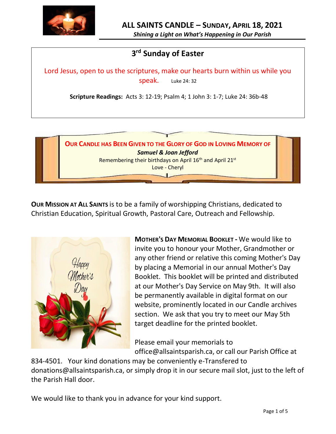

*Shining a Light on What's Happening in Our Parish*

# **3 rd Sunday of Easter**

Lord Jesus, open to us the scriptures, make our hearts burn within us while you speak. Luke 24: 32

**Scripture Readings:** Acts 3: 12-19; Psalm 4; 1 John 3: 1-7; Luke 24: 36b-48



**OUR MISSION AT ALL SAINTS** is to be a family of worshipping Christians, dedicated to Christian Education, Spiritual Growth, Pastoral Care, Outreach and Fellowship.



**MOTHER'S DAY MEMORIAL BOOKLET -** We would like to invite you to honour your Mother, Grandmother or any other friend or relative this coming Mother's Day by placing a Memorial in our annual Mother's Day Booklet. This booklet will be printed and distributed at our Mother's Day Service on May 9th. It will also be permanently available in digital format on our website, prominently located in our Candle archives section. We ask that you try to meet our May 5th target deadline for the printed booklet.

Please email your memorials to office@allsaintsparish.ca, or call our Parish Office at

834-4501. Your kind donations may be conveniently e-Transfered to donations@allsaintsparish.ca, or simply drop it in our secure mail slot, just to the left of the Parish Hall door.

We would like to thank you in advance for your kind support.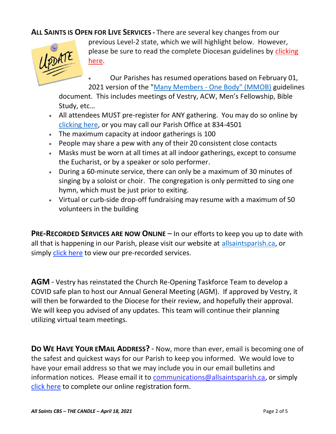**ALL SAINTS IS OPEN FOR LIVE SERVICES -** There are several key changes from our



previous Level-2 state, which we will highlight below. However, please be sure to read the complete Diocesan guidelines by [clicking](http://allsaintsparish.ca/document_library/COVID-19/210324%20COVID-19%20Revised%20Alert%20Level%202%20effective%20March%2027%202021.pdf)  [here.](http://allsaintsparish.ca/document_library/COVID-19/210324%20COVID-19%20Revised%20Alert%20Level%202%20effective%20March%2027%202021.pdf)

• Our Parishes has resumed operations based on February 01, 2021 version of the "Many Members - [One Body" \(MMOB\)](https://anglicanenl.net/home/wp-content/uploads/2021/02/Many-Members-One-Body-February-2021.pdf) guidelines

document. This includes meetings of Vestry, ACW, Men's Fellowship, Bible Study, etc…

- All attendees MUST pre-register for ANY gathering. You may do so online by [clicking here,](http://allsaintsparish.ca/covid-pre-registration-form) or you may call our Parish Office at 834-4501
- The maximum capacity at indoor gatherings is 100
- People may share a pew with any of their 20 consistent close contacts
- Masks must be worn at all times at all indoor gatherings, except to consume the Eucharist, or by a speaker or solo performer.
- During a 60-minute service, there can only be a maximum of 30 minutes of singing by a soloist or choir. The congregation is only permitted to sing one hymn, which must be just prior to exiting.
- Virtual or curb-side drop-off fundraising may resume with a maximum of 50 volunteers in the building

**PRE-RECORDED SERVICES ARE NOW ONLINE** – In our efforts to keep you up to date with all that is happening in our Parish, please visit our website at [allsaintsparish.ca,](http://allsaintsparish.ca/) or simply [click here](http://allsaintsparish.ca/recorded-church-services) to view our pre-recorded services.

**AGM** - Vestry has reinstated the Church Re-Opening Taskforce Team to develop a COVID safe plan to host our Annual General Meeting (AGM). If approved by Vestry, it will then be forwarded to the Diocese for their review, and hopefully their approval. We will keep you advised of any updates. This team will continue their planning utilizing virtual team meetings.

**DO WE HAVE YOUR EMAIL ADDRESS?** - Now, more than ever, email is becoming one of the safest and quickest ways for our Parish to keep you informed. We would love to have your email address so that we may include you in our email bulletins and information notices. Please email it to [communications@allsaintsparish.ca,](mailto:communications@allsaintsparish.ca?subject=eMail%20Address%20Update) or simply [click here](http://allsaintsparish.ca/email_updates) to complete our online registration form.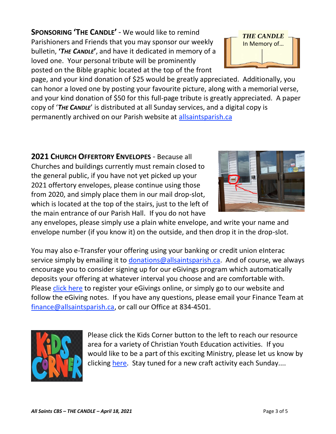**SPONSORING 'THE CANDLE'** - We would like to remind Parishioners and Friends that you may sponsor our weekly bulletin, **'***THE CANDLE***'**, and have it dedicated in memory of a loved one. Your personal tribute will be prominently posted on the Bible graphic located at the top of the front

page, and your kind donation of \$25 would be greatly appreciated. Additionally, you can honor a loved one by posting your favourite picture, along with a memorial verse, and your kind donation of \$50 for this full-page tribute is greatly appreciated. A paper copy of '*THE CANDLE*' is distributed at all Sunday services, and a digital copy is permanently archived on our Parish website at [allsaintsparish.ca](http://allsaintsparish.ca/thecandle.html)

**2021 CHURCH OFFERTORY ENVELOPES** - Because all Churches and buildings currently must remain closed to the general public, if you have not yet picked up your 2021 offertory envelopes, please continue using those from 2020, and simply place them in our mail drop-slot, which is located at the top of the stairs, just to the left of the main entrance of our Parish Hall. If you do not have

any envelopes, please simply use a plain white envelope, and write your name and envelope number (if you know it) on the outside, and then drop it in the drop-slot.

You may also e-Transfer your offering using your banking or credit union eInterac service simply by emailing it to [donations@allsaintsparish.ca.](mailto:donations@allsaintsparish.ca) And of course, we always encourage you to consider signing up for our eGivings program which automatically deposits your offering at whatever interval you choose and are comfortable with. Please [click here](http://allsaintsparish.ca/egiving-online-information-form) to register your eGivings online, or simply go to our website and follow the eGiving notes. If you have [any](https://wfsites-to.websitecreatorprotool.com/870a5dd5.com/Admin/%7BSK_NODEID__22939341__SK%7D) questions, please email your Finance Team at [finance@allsaintsparish.ca,](mailto:finance@allsaintsparish.ca) or call our Office at 834-4501.

> Please [click](http://allsaintsparish.ca/kids-corner) the Kids Corner button to the left to reach our resource area for a variety of Christian Youth Education activities. If you would like to be a part of this exciting Ministry, please let us know by clicking [here.](http://allsaintsparish.ca/index.html#comments) Stay tuned for a new craft activity each Sunday....



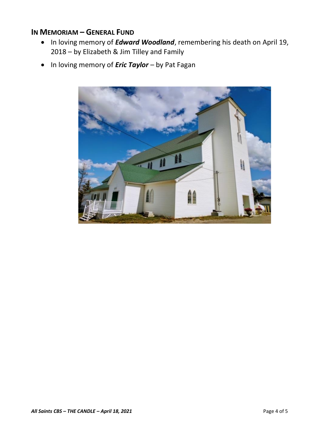## **IN MEMORIAM – GENERAL FUND**

- In loving memory of *Edward Woodland*, remembering his death on April 19, 2018 – by Elizabeth & Jim Tilley and Family
- In loving memory of *Eric Taylor* by Pat Fagan